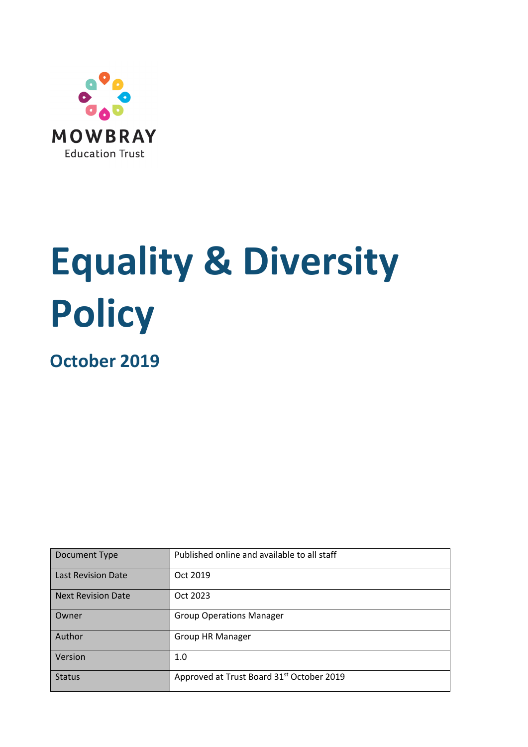

# **Equality & Diversity Policy**

**October 2019**

| Document Type             | Published online and available to all staff           |  |
|---------------------------|-------------------------------------------------------|--|
| <b>Last Revision Date</b> | Oct 2019                                              |  |
| <b>Next Revision Date</b> | Oct 2023                                              |  |
| Owner                     | <b>Group Operations Manager</b>                       |  |
| Author                    | <b>Group HR Manager</b>                               |  |
| Version                   | 1.0                                                   |  |
| <b>Status</b>             | Approved at Trust Board 31 <sup>st</sup> October 2019 |  |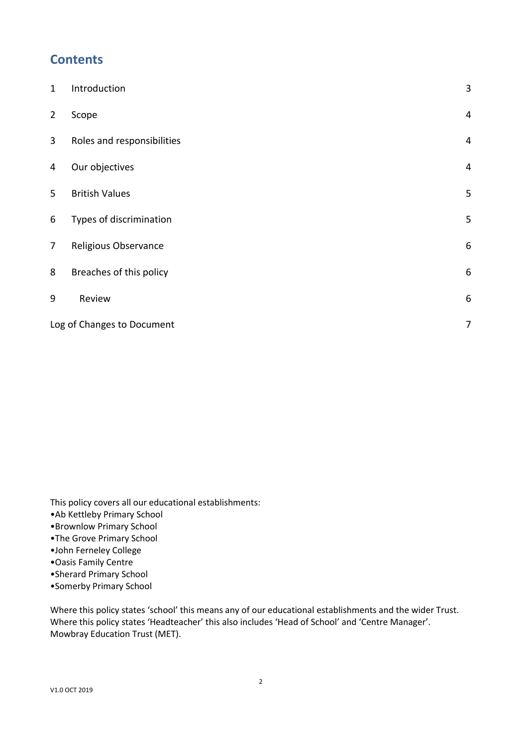#### **Contents**

| $\mathbf{1}$   | Introduction                    | $\mathsf 3$    |  |  |
|----------------|---------------------------------|----------------|--|--|
| $\overline{2}$ | Scope                           | $\overline{4}$ |  |  |
| 3              | Roles and responsibilities      | $\overline{4}$ |  |  |
| 4              | Our objectives                  | $\overline{4}$ |  |  |
| 5              | <b>British Values</b>           | 5              |  |  |
| 6              | Types of discrimination         | 5              |  |  |
| $\overline{7}$ | Religious Observance            | 6              |  |  |
| 8              | Breaches of this policy         | 6              |  |  |
| 9              | Review                          | 6              |  |  |
|                | Log of Changes to Document<br>7 |                |  |  |

This policy covers all our educational establishments:

- •Ab Kettleby Primary School
- •Brownlow Primary School
- •The Grove Primary School
- •John Ferneley College
- •Oasis Family Centre
- •Sherard Primary School
- •Somerby Primary School

Where this policy states 'school' this means any of our educational establishments and the wider Trust. Where this policy states 'Headteacher' this also includes 'Head of School' and 'Centre Manager'. Mowbray Education Trust (MET).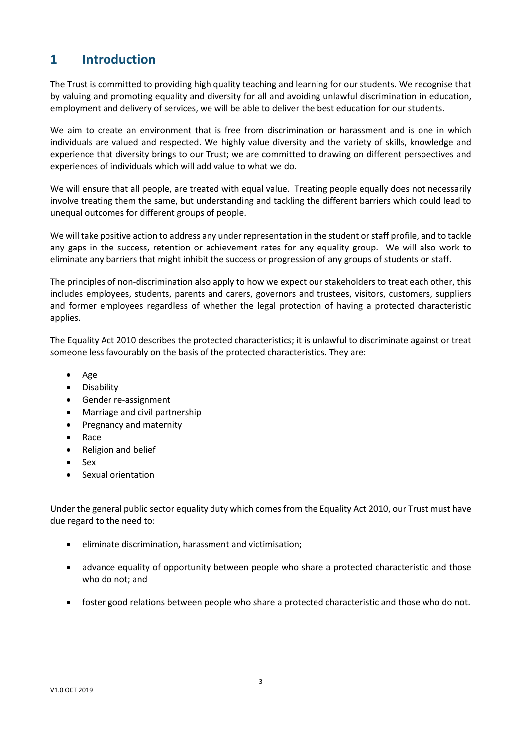# <span id="page-2-0"></span>**1 Introduction**

The Trust is committed to providing high quality teaching and learning for our students. We recognise that by valuing and promoting equality and diversity for all and avoiding unlawful discrimination in education, employment and delivery of services, we will be able to deliver the best education for our students.

We aim to create an environment that is free from discrimination or harassment and is one in which individuals are valued and respected. We highly value diversity and the variety of skills, knowledge and experience that diversity brings to our Trust; we are committed to drawing on different perspectives and experiences of individuals which will add value to what we do.

We will ensure that all people, are treated with equal value. Treating people equally does not necessarily involve treating them the same, but understanding and tackling the different barriers which could lead to unequal outcomes for different groups of people.

We will take positive action to address any under representation in the student or staff profile, and to tackle any gaps in the success, retention or achievement rates for any equality group. We will also work to eliminate any barriers that might inhibit the success or progression of any groups of students or staff.

The principles of non-discrimination also apply to how we expect our stakeholders to treat each other, this includes employees, students, parents and carers, governors and trustees, visitors, customers, suppliers and former employees regardless of whether the legal protection of having a protected characteristic applies.

The Equality Act 2010 describes the protected characteristics; it is unlawful to discriminate against or treat someone less favourably on the basis of the protected characteristics. They are:

- Age
- Disability
- Gender re-assignment
- Marriage and civil partnership
- Pregnancy and maternity
- Race
- Religion and belief
- Sex
- Sexual orientation

Under the general public sector equality duty which comes from the Equality Act 2010, our Trust must have due regard to the need to:

- eliminate discrimination, harassment and victimisation;
- advance equality of opportunity between people who share a protected characteristic and those who do not; and
- foster good relations between people who share a protected characteristic and those who do not.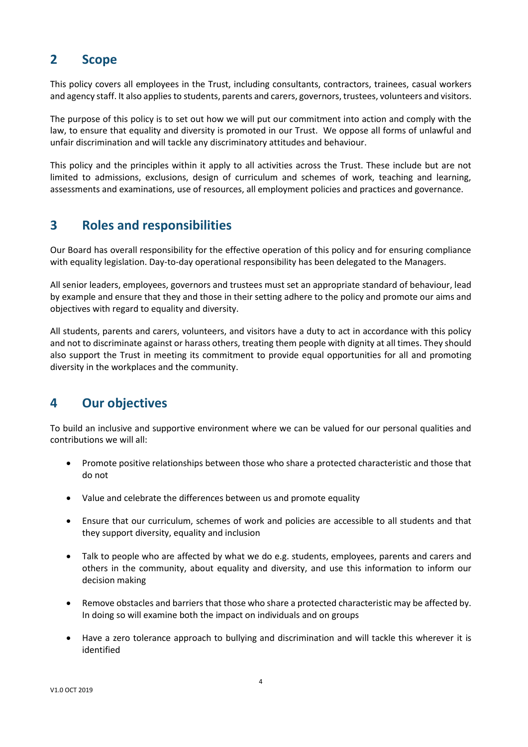#### <span id="page-3-0"></span>**2 Scope**

This policy covers all employees in the Trust, including consultants, contractors, trainees, casual workers and agency staff. It also applies to students, parents and carers, governors, trustees, volunteers and visitors.

The purpose of this policy is to set out how we will put our commitment into action and comply with the law, to ensure that equality and diversity is promoted in our Trust. We oppose all forms of unlawful and unfair discrimination and will tackle any discriminatory attitudes and behaviour.

This policy and the principles within it apply to all activities across the Trust. These include but are not limited to admissions, exclusions, design of curriculum and schemes of work, teaching and learning, assessments and examinations, use of resources, all employment policies and practices and governance.

## <span id="page-3-1"></span>**3 Roles and responsibilities**

Our Board has overall responsibility for the effective operation of this policy and for ensuring compliance with equality legislation. Day-to-day operational responsibility has been delegated to the Managers.

All senior leaders, employees, governors and trustees must set an appropriate standard of behaviour, lead by example and ensure that they and those in their setting adhere to the policy and promote our aims and objectives with regard to equality and diversity.

All students, parents and carers, volunteers, and visitors have a duty to act in accordance with this policy and not to discriminate against or harass others, treating them people with dignity at all times. They should also support the Trust in meeting its commitment to provide equal opportunities for all and promoting diversity in the workplaces and the community.

# <span id="page-3-2"></span>**4 Our objectives**

To build an inclusive and supportive environment where we can be valued for our personal qualities and contributions we will all:

- Promote positive relationships between those who share a protected characteristic and those that do not
- Value and celebrate the differences between us and promote equality
- Ensure that our curriculum, schemes of work and policies are accessible to all students and that they support diversity, equality and inclusion
- Talk to people who are affected by what we do e.g. students, employees, parents and carers and others in the community, about equality and diversity, and use this information to inform our decision making
- Remove obstacles and barriers that those who share a protected characteristic may be affected by. In doing so will examine both the impact on individuals and on groups
- Have a zero tolerance approach to bullying and discrimination and will tackle this wherever it is identified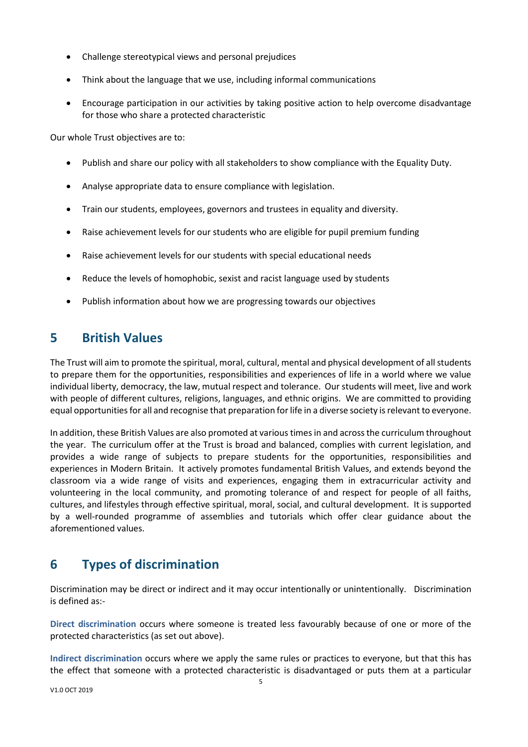- Challenge stereotypical views and personal prejudices
- Think about the language that we use, including informal communications
- Encourage participation in our activities by taking positive action to help overcome disadvantage for those who share a protected characteristic

Our whole Trust objectives are to:

- Publish and share our policy with all stakeholders to show compliance with the Equality Duty.
- Analyse appropriate data to ensure compliance with legislation.
- Train our students, employees, governors and trustees in equality and diversity.
- Raise achievement levels for our students who are eligible for pupil premium funding
- Raise achievement levels for our students with special educational needs
- Reduce the levels of homophobic, sexist and racist language used by students
- Publish information about how we are progressing towards our objectives

#### <span id="page-4-0"></span>**5 British Values**

The Trust will aim to promote the spiritual, moral, cultural, mental and physical development of all students to prepare them for the opportunities, responsibilities and experiences of life in a world where we value individual liberty, democracy, the law, mutual respect and tolerance. Our students will meet, live and work with people of different cultures, religions, languages, and ethnic origins. We are committed to providing equal opportunities for all and recognise that preparation for life in a diverse society is relevant to everyone.

In addition, these British Values are also promoted at various times in and across the curriculum throughout the year. The curriculum offer at the Trust is broad and balanced, complies with current legislation, and provides a wide range of subjects to prepare students for the opportunities, responsibilities and experiences in Modern Britain. It actively promotes fundamental British Values, and extends beyond the classroom via a wide range of visits and experiences, engaging them in extracurricular activity and volunteering in the local community, and promoting tolerance of and respect for people of all faiths, cultures, and lifestyles through effective spiritual, moral, social, and cultural development. It is supported by a well-rounded programme of assemblies and tutorials which offer clear guidance about the aforementioned values.

# <span id="page-4-1"></span>**6 Types of discrimination**

Discrimination may be direct or indirect and it may occur intentionally or unintentionally. Discrimination is defined as:-

**Direct discrimination** occurs where someone is treated less favourably because of one or more of the protected characteristics (as set out above).

**Indirect discrimination** occurs where we apply the same rules or practices to everyone, but that this has the effect that someone with a protected characteristic is disadvantaged or puts them at a particular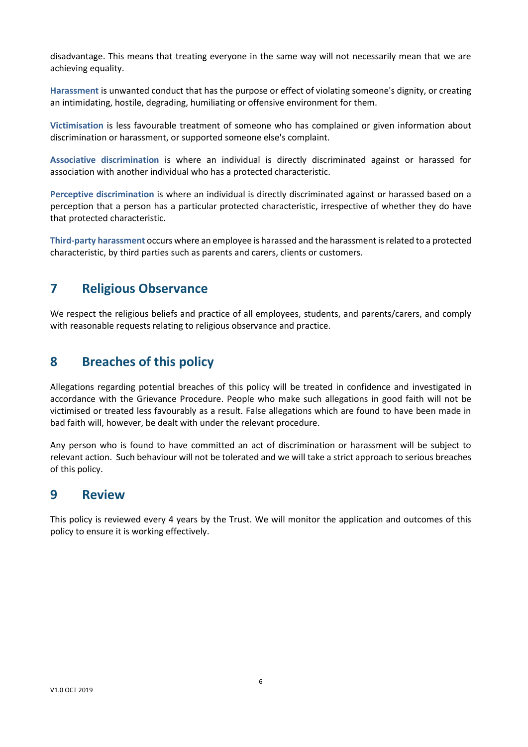disadvantage. This means that treating everyone in the same way will not necessarily mean that we are achieving equality.

**Harassment** is unwanted conduct that has the purpose or effect of violating someone's dignity, or creating an intimidating, hostile, degrading, humiliating or offensive environment for them.

**Victimisation** is less favourable treatment of someone who has complained or given information about discrimination or harassment, or supported someone else's complaint.

**Associative discrimination** is where an individual is directly discriminated against or harassed for association with another individual who has a protected characteristic.

**Perceptive discrimination** is where an individual is directly discriminated against or harassed based on a perception that a person has a particular protected characteristic, irrespective of whether they do have that protected characteristic.

**Third-party harassment** occurs where an employee is harassed and the harassment is related to a protected characteristic, by third parties such as parents and carers, clients or customers.

#### <span id="page-5-0"></span>**7 Religious Observance**

We respect the religious beliefs and practice of all employees, students, and parents/carers, and comply with reasonable requests relating to religious observance and practice.

## <span id="page-5-1"></span>**8 Breaches of this policy**

Allegations regarding potential breaches of this policy will be treated in confidence and investigated in accordance with the Grievance Procedure. People who make such allegations in good faith will not be victimised or treated less favourably as a result. False allegations which are found to have been made in bad faith will, however, be dealt with under the relevant procedure.

Any person who is found to have committed an act of discrimination or harassment will be subject to relevant action. Such behaviour will not be tolerated and we will take a strict approach to serious breaches of this policy.

#### <span id="page-5-2"></span>**9 Review**

This policy is reviewed every 4 years by the Trust. We will monitor the application and outcomes of this policy to ensure it is working effectively.